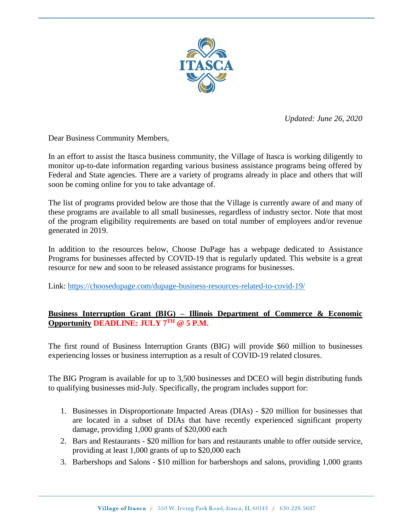

*Updated: June 26, 2020*

Dear Business Community Members,

In an effort to assist the Itasca business community, the Village of Itasca is working diligently to monitor up-to-date information regarding various business assistance programs being offered by Federal and State agencies. There are a variety of programs already in place and others that will soon be coming online for you to take advantage of.

The list of programs provided below are those that the Village is currently aware of and many of these programs are available to all small businesses, regardless of industry sector. Note that most of the program eligibility requirements are based on total number of employees and/or revenue generated in 2019.

In addition to the resources below, Choose DuPage has a webpage dedicated to Assistance Programs for businesses affected by COVID-19 that is regularly updated. This website is a great resource for new and soon to be released assistance programs for businesses.

Link: <https://choosedupage.com/dupage-business-resources-related-to-covid-19/>

# **Business Interruption Grant (BIG) – Illinois Department of Commerce & Economic Opportunity DEADLINE: JULY 7TH @ 5 P.M.**

The first round of Business Interruption Grants (BIG) will provide \$60 million to businesses experiencing losses or business interruption as a result of COVID-19 related closures.

The BIG Program is available for up to 3,500 businesses and DCEO will begin distributing funds to qualifying businesses mid-July. Specifically, the program includes support for:

- 1. Businesses in Disproportionate Impacted Areas (DIAs) \$20 million for businesses that are located in a subset of DIAs that have recently experienced significant property damage, providing 1,000 grants of \$20,000 each
- 2. Bars and Restaurants \$20 million for bars and restaurants unable to offer outside service, providing at least 1,000 grants of up to \$20,000 each
- 3. Barbershops and Salons \$10 million for barbershops and salons, providing 1,000 grants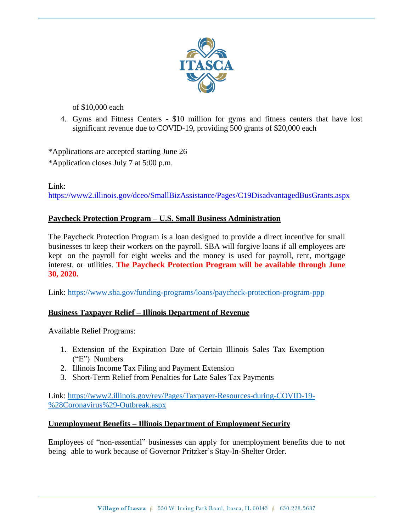

of \$10,000 each

4. Gyms and Fitness Centers - \$10 million for gyms and fitness centers that have lost significant revenue due to COVID-19, providing 500 grants of \$20,000 each

\*Applications are accepted starting June 26

\*Application closes July 7 at 5:00 p.m.

Link:

<https://www2.illinois.gov/dceo/SmallBizAssistance/Pages/C19DisadvantagedBusGrants.aspx>

# **Paycheck Protection Program – U.S. Small Business Administration**

The Paycheck Protection Program is a loan designed to provide a direct incentive for small businesses to keep their workers on the payroll. SBA will forgive loans if all employees are kept on the payroll for eight weeks and the money is used for payroll, rent, mortgage interest, or utilities. **The Paycheck Protection Program will be available through June 30, 2020.**

Link: <https://www.sba.gov/funding-programs/loans/paycheck-protection-program-ppp>

## **Business Taxpayer Relief – Illinois Department of Revenue**

Available Relief Programs:

- 1. Extension of the Expiration Date of Certain Illinois Sales Tax Exemption ("E") Numbers
- 2. Illinois Income Tax Filing and Payment Extension
- 3. Short-Term Relief from Penalties for Late Sales Tax Payments

Link: [https://www2.illinois.gov/rev/Pages/Taxpayer-Resources-during-COVID-19-](https://www2.illinois.gov/rev/Pages/Taxpayer-Resources-during-COVID-19-%28Coronavirus%29-Outbreak.aspx) [%28Coronavirus%29-Outbreak.aspx](https://www2.illinois.gov/rev/Pages/Taxpayer-Resources-during-COVID-19-%28Coronavirus%29-Outbreak.aspx)

## **Unemployment Benefits – Illinois Department of Employment Security**

Employees of "non-essential" businesses can apply for unemployment benefits due to not being able to work because of Governor Pritzker's Stay-In-Shelter Order.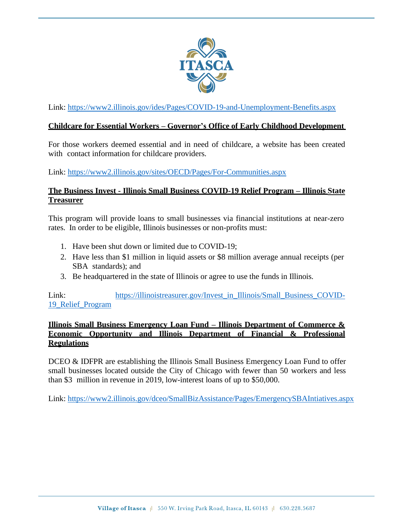

Link: <https://www2.illinois.gov/ides/Pages/COVID-19-and-Unemployment-Benefits.aspx>

#### **Childcare for Essential Workers – Governor's Office of Early Childhood Development**

For those workers deemed essential and in need of childcare, a website has been created with contact information for childcare providers.

Link: <https://www2.illinois.gov/sites/OECD/Pages/For-Communities.aspx>

### **The Business Invest - Illinois Small Business COVID-19 Relief Program – Illinois State Treasurer**

This program will provide loans to small businesses via financial institutions at near-zero rates. In order to be eligible, Illinois businesses or non-profits must:

- 1. Have been shut down or limited due to COVID-19;
- 2. Have less than \$1 million in liquid assets or \$8 million average annual receipts (per SBA standards); and
- 3. Be headquartered in the state of Illinois or agree to use the funds in Illinois.

Link: [https://illinoistreasurer.gov/Invest\\_in\\_Illinois/Small\\_Business\\_COVID-](https://illinoistreasurer.gov/Invest_in_Illinois/Small_Business_COVID-19_Relief_Program)[19\\_Relief\\_Program](https://illinoistreasurer.gov/Invest_in_Illinois/Small_Business_COVID-19_Relief_Program)

## **Illinois Small Business Emergency Loan Fund – Illinois Department of Commerce & Economic Opportunity and Illinois Department of Financial & Professional Regulations**

DCEO & IDFPR are establishing the Illinois Small Business Emergency Loan Fund to offer small businesses located outside the City of Chicago with fewer than 50 workers and less than \$3 million in revenue in 2019, low-interest loans of up to \$50,000.

Link: <https://www2.illinois.gov/dceo/SmallBizAssistance/Pages/EmergencySBAIntiatives.aspx>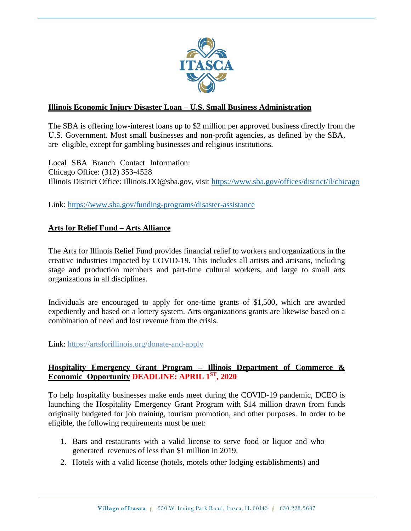

## **Illinois Economic Injury Disaster Loan – U.S. Small Business Administration**

The SBA is offering low-interest loans up to \$2 million per approved business directly from the U.S. Government. Most small businesses and non-profit agencies, as defined by the SBA, are eligible, except for gambling businesses and religious institutions.

Local SBA Branch Contact Information: Chicago Office: (312) 353-4528 Illinois District Office: [Illinois.DO@sba.gov,](mailto:Illinois.DO@sba.gov) visit <https://www.sba.gov/offices/district/il/chicago>

Link: <https://www.sba.gov/funding-programs/disaster-assistance>

# **Arts for Relief Fund – Arts Alliance**

The Arts for Illinois Relief Fund provides financial relief to workers and organizations in the creative industries impacted by COVID-19. This includes all artists and artisans, including stage and production members and part-time cultural workers, and large to small arts organizations in all disciplines.

Individuals are encouraged to apply for one-time grants of \$1,500, which are awarded expediently and based on a lottery system. Arts organizations grants are likewise based on a combination of need and lost revenue from the crisis.

Link:<https://artsforillinois.org/donate-and-apply>

### **Hospitality Emergency Grant Program – Illinois Department of Commerce & Economic Opportunity DEADLINE: APRIL 1 ST , 2020**

To help hospitality businesses make ends meet during the COVID-19 pandemic, DCEO is launching the Hospitality Emergency Grant Program with \$14 million drawn from funds originally budgeted for job training, tourism promotion, and other purposes. In order to be eligible, the following requirements must be met:

- 1. Bars and restaurants with a valid license to serve food or liquor and who generated revenues of less than \$1 million in 2019.
- 2. Hotels with a valid license (hotels, motels other lodging establishments) and